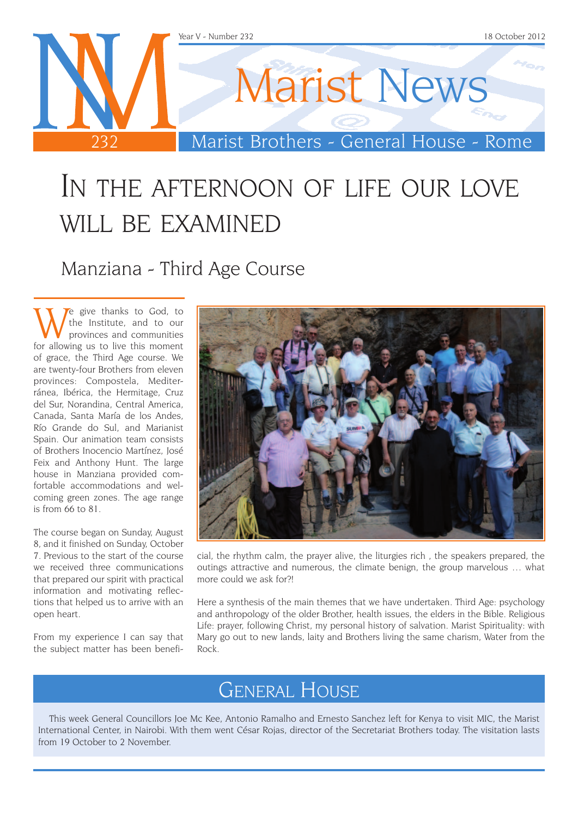

## In the afternoon of life our love WILL BE EXAMINED

Manziana - Third Age Course

We give thanks to God, to<br>the Institute, and to our<br>provinces and communities<br>or allowing us to live this moment the Institute, and to our provinces and communities for allowing us to live this moment of grace, the Third Age course. We are twenty-four Brothers from eleven provinces: Compostela, Mediterránea, Ibérica, the Hermitage, Cruz del Sur, Norandina, Central America, Canada, Santa María de los Andes, Río Grande do Sul, and Marianist Spain. Our animation team consists of Brothers Inocencio Martínez, José Feix and Anthony Hunt. The large house in Manziana provided comfortable accommodations and welcoming green zones. The age range is from 66 to 81.

The course began on Sunday, August 8, and it finished on Sunday, October 7. Previous to the start of the course we received three communications that prepared our spirit with practical information and motivating reflections that helped us to arrive with an open heart.

From my experience I can say that the subject matter has been benefi-



cial, the rhythm calm, the prayer alive, the liturgies rich , the speakers prepared, the outings attractive and numerous, the climate benign, the group marvelous … what more could we ask for?!

Here a synthesis of the main themes that we have undertaken. Third Age: psychology and anthropology of the older Brother, health issues, the elders in the Bible. Religious Life: prayer, following Christ, my personal history of salvation. Marist Spirituality: with Mary go out to new lands, laity and Brothers living the same charism, Water from the Rock.

## General House

This week General Councillors Joe Mc Kee, Antonio Ramalho and Ernesto Sanchez left for Kenya to visit MIC, the Marist International Center, in Nairobi. With them went César Rojas, director of the Secretariat Brothers today. The visitation lasts from 19 October to 2 November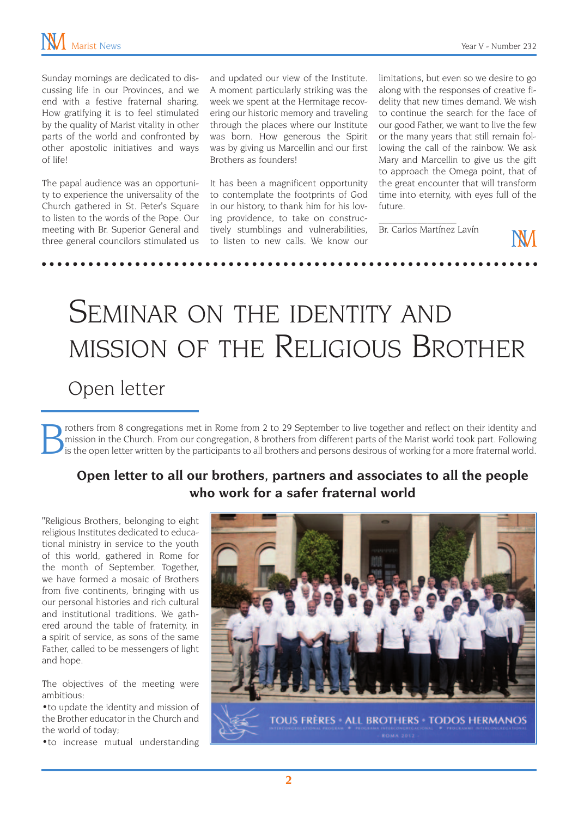Sunday mornings are dedicated to discussing life in our Provinces, and we end with a festive fraternal sharing. How gratifying it is to feel stimulated by the quality of Marist vitality in other parts of the world and confronted by other apostolic initiatives and ways of life!

The papal audience was an opportunity to experience the universality of the Church gathered in St. Peter's Square to listen to the words of the Pope. Our meeting with Br. Superior General and three general councilors stimulated us

and updated our view of the Institute. A moment particularly striking was the week we spent at the Hermitage recovering our historic memory and traveling through the places where our Institute was born. How generous the Spirit was by giving us Marcellin and our first Brothers as founders!

It has been a magnificent opportunity to contemplate the footprints of God in our history, to thank him for his loving providence, to take on constructively stumblings and vulnerabilities, to listen to new calls. We know our

limitations, but even so we desire to go along with the responses of creative fidelity that new times demand. We wish to continue the search for the face of our good Father, we want to live the few or the many years that still remain following the call of the rainbow. We ask Mary and Marcellin to give us the gift to approach the Omega point, that of the great encounter that will transform time into eternity, with eyes full of the future.

Br. Carlos Martínez Lavín

 $\mathcal{L}_\text{max}$ 

# SEMINAR ON THE IDENTITY AND mission of the Religious Brother Open letter

Trothers from 8 congregations met in Rome from 2 to 29 September to live together and reflect on their identity and<br>is the open letter written by the participants to all brothers and persons desirous of working for a more mission in the Church. From our congregation, 8 brothers from different parts of the Marist world took part. Following

### **Open letter to all our brothers, partners and associates to all the people who work for a safer fraternal world**

"Religious Brothers, belonging to eight religious Institutes dedicated to educational ministry in service to the youth of this world, gathered in Rome for the month of September. Together, we have formed a mosaic of Brothers from five continents, bringing with us our personal histories and rich cultural and institutional traditions. We gathered around the table of fraternity, in a spirit of service, as sons of the same Father, called to be messengers of light and hope.

The objectives of the meeting were ambitious:

•to update the identity and mission of the Brother educator in the Church and the world of today;

•to increase mutual understanding

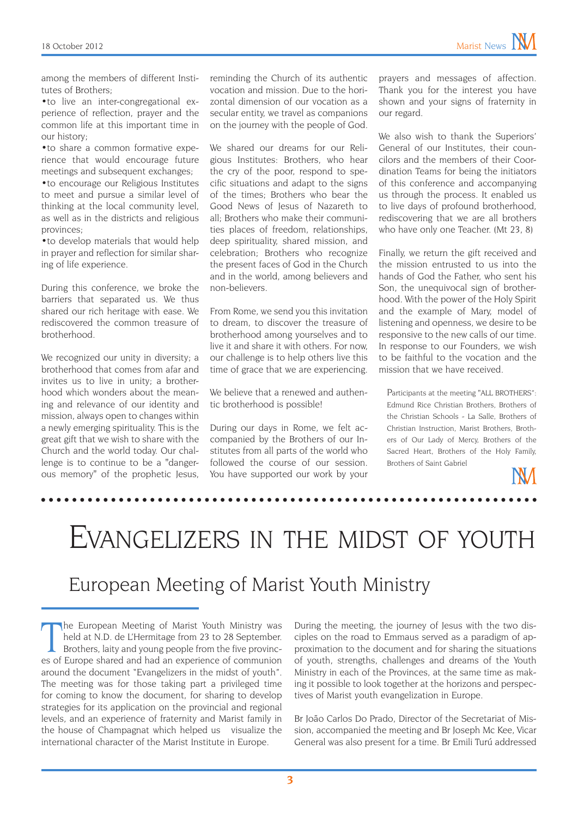among the members of different Institutes of Brothers;

•to live an inter-congregational experience of reflection, prayer and the common life at this important time in our history;

•to share a common formative experience that would encourage future meetings and subsequent exchanges;

•to encourage our Religious Institutes to meet and pursue a similar level of thinking at the local community level, as well as in the districts and religious provinces;

•to develop materials that would help in prayer and reflection for similar sharing of life experience.

During this conference, we broke the barriers that separated us. We thus shared our rich heritage with ease. We rediscovered the common treasure of brotherhood.

We recognized our unity in diversity; a brotherhood that comes from afar and invites us to live in unity; a brotherhood which wonders about the meaning and relevance of our identity and mission, always open to changes within a newly emerging spirituality. This is the great gift that we wish to share with the Church and the world today. Our challenge is to continue to be a "dangerous memory" of the prophetic Jesus, reminding the Church of its authentic vocation and mission. Due to the horizontal dimension of our vocation as a secular entity, we travel as companions on the journey with the people of God.

We shared our dreams for our Religious Institutes: Brothers, who hear the cry of the poor, respond to specific situations and adapt to the signs of the times; Brothers who bear the Good News of Jesus of Nazareth to all; Brothers who make their communities places of freedom, relationships, deep spirituality, shared mission, and celebration; Brothers who recognize the present faces of God in the Church and in the world, among believers and non-believers.

From Rome, we send you this invitation to dream, to discover the treasure of brotherhood among yourselves and to live it and share it with others. For now, our challenge is to help others live this time of grace that we are experiencing.

We believe that a renewed and authentic brotherhood is possible!

During our days in Rome, we felt accompanied by the Brothers of our Institutes from all parts of the world who followed the course of our session. You have supported our work by your

prayers and messages of affection. Thank you for the interest you have shown and your signs of fraternity in our regard.

We also wish to thank the Superiors' General of our Institutes, their councilors and the members of their Coordination Teams for being the initiators of this conference and accompanying us through the process. It enabled us to live days of profound brotherhood, rediscovering that we are all brothers who have only one Teacher. (Mt 23, 8)

Finally, we return the gift received and the mission entrusted to us into the hands of God the Father, who sent his Son, the unequivocal sign of brotherhood. With the power of the Holy Spirit and the example of Mary, model of listening and openness, we desire to be responsive to the new calls of our time. In response to our Founders, we wish to be faithful to the vocation and the mission that we have received.

Participants at the meeting "ALL BROTHERS": Edmund Rice Christian Brothers, Brothers of the Christian Schools - La Salle, Brothers of Christian Instruction, Marist Brothers, Brothers of Our Lady of Mercy, Brothers of the Sacred Heart, Brothers of the Holy Family, Brothers of Saint Gabriel

Evangelizers in the midst of youth

### European Meeting of Marist Youth Ministry

The European Meeting of Marist Youth Ministry was<br>held at N.D. de L'Hermitage from 23 to 28 September.<br>Brothers, laity and young people from the five provinc-<br>es of Europe shared and had an experience of communion he European Meeting of Marist Youth Ministry was held at N.D. de L'Hermitage from 23 to 28 September. Brothers, laity and young people from the five provincaround the document "Evangelizers in the midst of youth". The meeting was for those taking part a privileged time for coming to know the document, for sharing to develop strategies for its application on the provincial and regional levels, and an experience of fraternity and Marist family in the house of Champagnat which helped us visualize the international character of the Marist Institute in Europe.

During the meeting, the journey of Jesus with the two disciples on the road to Emmaus served as a paradigm of approximation to the document and for sharing the situations of youth, strengths, challenges and dreams of the Youth Ministry in each of the Provinces, at the same time as making it possible to look together at the horizons and perspectives of Marist youth evangelization in Europe.

Br João Carlos Do Prado, Director of the Secretariat of Mission, accompanied the meeting and Br Joseph Mc Kee, Vicar General was also present for a time. Br Emili Turú addressed